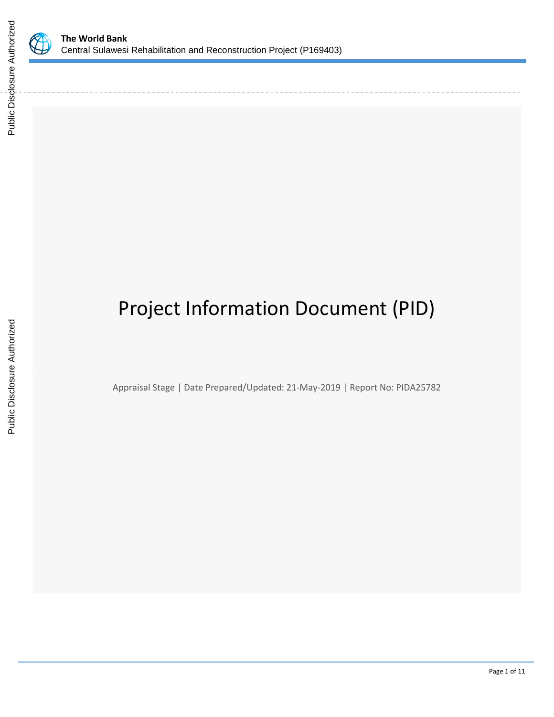

# Project Information Document (PID)

Appraisal Stage | Date Prepared/Updated: 21-May-2019 | Report No: PIDA25782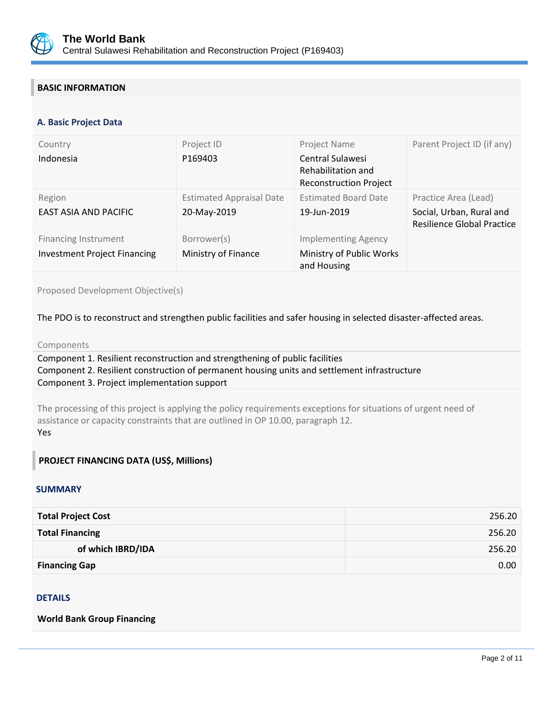

## **BASIC INFORMATION**

#### **OPS\_TABLE\_BASIC\_DATA A. Basic Project Data**

| Country                                                            | Project ID                                     | Project Name                                                            | Parent Project ID (if any)                                                            |
|--------------------------------------------------------------------|------------------------------------------------|-------------------------------------------------------------------------|---------------------------------------------------------------------------------------|
| Indonesia                                                          | P169403                                        | Central Sulawesi<br>Rehabilitation and<br><b>Reconstruction Project</b> |                                                                                       |
| Region<br>EAST ASIA AND PACIFIC                                    | <b>Estimated Appraisal Date</b><br>20-May-2019 | <b>Estimated Board Date</b><br>19-Jun-2019                              | Practice Area (Lead)<br>Social, Urban, Rural and<br><b>Resilience Global Practice</b> |
| <b>Financing Instrument</b><br><b>Investment Project Financing</b> | Borrower(s)<br>Ministry of Finance             | <b>Implementing Agency</b><br>Ministry of Public Works<br>and Housing   |                                                                                       |

Proposed Development Objective(s)

The PDO is to reconstruct and strengthen public facilities and safer housing in selected disaster-affected areas.

#### Components

Component 1. Resilient reconstruction and strengthening of public facilities Component 2. Resilient construction of permanent housing units and settlement infrastructure Component 3. Project implementation support

The processing of this project is applying the policy requirements exceptions for situations of urgent need of assistance or capacity constraints that are outlined in OP 10.00, paragraph 12. Yes

#### **PROJECT FINANCING DATA (US\$, Millions)**

#### **SUMMARY**

| <b>Total Project Cost</b> | 256.20 |
|---------------------------|--------|
| <b>Total Financing</b>    | 256.20 |
| of which IBRD/IDA         | 256.20 |
| <b>Financing Gap</b>      | 0.00   |

### **DETAILS**

**World Bank Group Financing**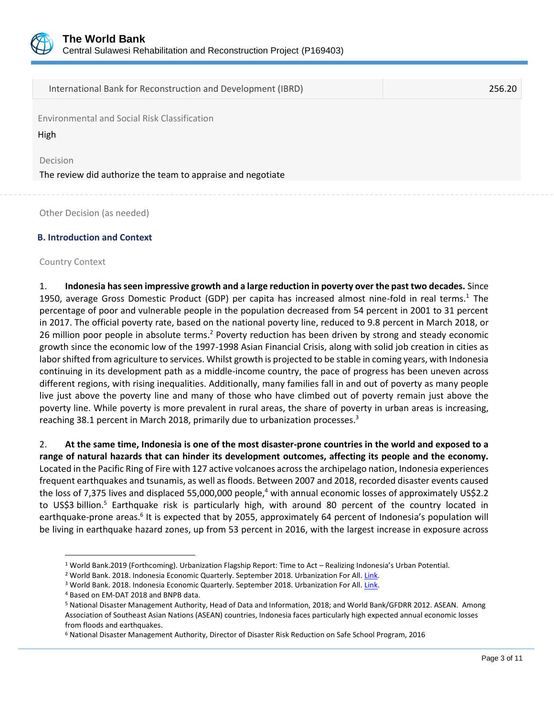

International Bank for Reconstruction and Development (IBRD) 256.20

Environmental and Social Risk Classification

High

Decision

The review did authorize the team to appraise and negotiate

Other Decision (as needed)

#### **B. Introduction and Context**

#### Country Context

 $\overline{\phantom{a}}$ 

1. **Indonesia has seen impressive growth and a large reduction in poverty over the past two decades.** Since 1950, average Gross Domestic Product (GDP) per capita has increased almost nine-fold in real terms. <sup>1</sup> The percentage of poor and vulnerable people in the population decreased from 54 percent in 2001 to 31 percent in 2017. The official poverty rate, based on the national poverty line, reduced to 9.8 percent in March 2018, or 26 million poor people in absolute terms.<sup>2</sup> Poverty reduction has been driven by strong and steady economic growth since the economic low of the 1997-1998 Asian Financial Crisis, along with solid job creation in cities as labor shifted from agriculture to services. Whilst growth is projected to be stable in coming years, with Indonesia continuing in its development path as a middle-income country, the pace of progress has been uneven across different regions, with rising inequalities. Additionally, many families fall in and out of poverty as many people live just above the poverty line and many of those who have climbed out of poverty remain just above the poverty line. While poverty is more prevalent in rural areas, the share of poverty in urban areas is increasing, reaching 38.1 percent in March 2018, primarily due to urbanization processes.<sup>3</sup>

2. **At the same time, Indonesia is one of the most disaster-prone countries in the world and exposed to a range of natural hazards that can hinder its development outcomes, affecting its people and the economy.** Located in the Pacific Ring of Fire with 127 active volcanoes across the archipelago nation, Indonesia experiences frequent earthquakes and tsunamis, as well as floods. Between 2007 and 2018, recorded disaster events caused the loss of 7,375 lives and displaced 55,000,000 people,<sup>4</sup> with annual economic losses of approximately US\$2.2 to US\$3 billion.<sup>5</sup> Earthquake risk is particularly high, with around 80 percent of the country located in earthquake-prone areas.<sup>6</sup> It is expected that by 2055, approximately 64 percent of Indonesia's population will be living in earthquake hazard zones, up from 53 percent in 2016, with the largest increase in exposure across

<sup>1</sup> World Bank.2019 (Forthcoming). Urbanization Flagship Report: Time to Act – Realizing Indonesia's Urban Potential.

<sup>&</sup>lt;sup>2</sup> World Bank. 2018. Indonesia Economic Quarterly. September 2018. Urbanization For All. Link.

<sup>&</sup>lt;sup>3</sup> World Bank. 2018. Indonesia Economic Quarterly. September 2018. Urbanization For All. Link.

<sup>4</sup> Based on EM-DAT 2018 and BNPB data.

<sup>5</sup> National Disaster Management Authority, Head of Data and Information, 2018; and World Bank/GFDRR 2012. ASEAN. Among Association of Southeast Asian Nations (ASEAN) countries, Indonesia faces particularly high expected annual economic losses from floods and earthquakes.

<sup>6</sup> National Disaster Management Authority, Director of Disaster Risk Reduction on Safe School Program, 2016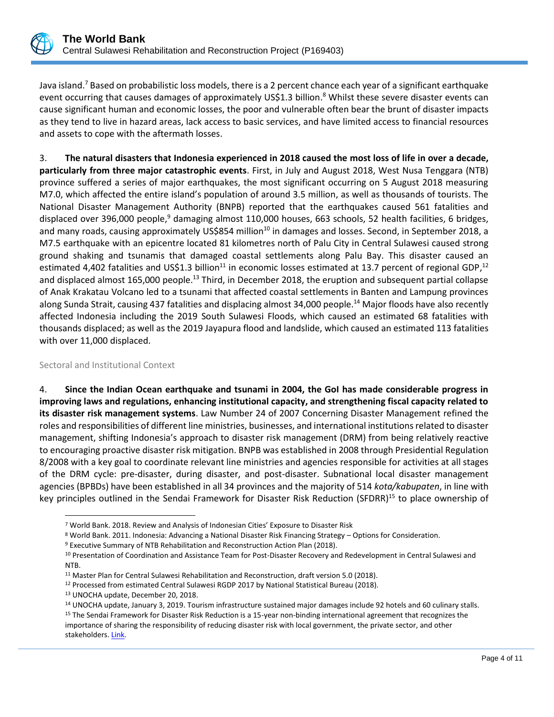

Java island.<sup>7</sup> Based on probabilistic loss models, there is a 2 percent chance each year of a significant earthquake event occurring that causes damages of approximately US\$1.3 billion.<sup>8</sup> Whilst these severe disaster events can cause significant human and economic losses, the poor and vulnerable often bear the brunt of disaster impacts as they tend to live in hazard areas, lack access to basic services, and have limited access to financial resources and assets to cope with the aftermath losses.

3. **The natural disasters that Indonesia experienced in 2018 caused the most loss of life in over a decade, particularly from three major catastrophic events**. First, in July and August 2018, West Nusa Tenggara (NTB) province suffered a series of major earthquakes, the most significant occurring on 5 August 2018 measuring M7.0, which affected the entire island's population of around 3.5 million, as well as thousands of tourists. The National Disaster Management Authority (BNPB) reported that the earthquakes caused 561 fatalities and displaced over 396,000 people,<sup>9</sup> damaging almost 110,000 houses, 663 schools, 52 health facilities, 6 bridges, and many roads, causing approximately US\$854 million<sup>10</sup> in damages and losses. Second, in September 2018, a M7.5 earthquake with an epicentre located 81 kilometres north of Palu City in Central Sulawesi caused strong ground shaking and tsunamis that damaged coastal settlements along Palu Bay. This disaster caused an estimated 4,402 fatalities and US\$1.3 billion<sup>11</sup> in economic losses estimated at 13.7 percent of regional GDP,<sup>12</sup> and displaced almost 165,000 people.<sup>13</sup> Third, in December 2018, the eruption and subsequent partial collapse of Anak Krakatau Volcano led to a tsunami that affected coastal settlements in Banten and Lampung provinces along Sunda Strait, causing 437 fatalities and displacing almost 34,000 people.<sup>14</sup> Major floods have also recently affected Indonesia including the 2019 South Sulawesi Floods, which caused an estimated 68 fatalities with thousands displaced; as well as the 2019 Jayapura flood and landslide, which caused an estimated 113 fatalities with over 11,000 displaced.

Sectoral and Institutional Context

l

4. **Since the Indian Ocean earthquake and tsunami in 2004, the GoI has made considerable progress in improving laws and regulations, enhancing institutional capacity, and strengthening fiscal capacity related to its disaster risk management systems**. Law Number 24 of 2007 Concerning Disaster Management refined the roles and responsibilities of different line ministries, businesses, and international institutions related to disaster management, shifting Indonesia's approach to disaster risk management (DRM) from being relatively reactive to encouraging proactive disaster risk mitigation. BNPB was established in 2008 through Presidential Regulation 8/2008 with a key goal to coordinate relevant line ministries and agencies responsible for activities at all stages of the DRM cycle: pre-disaster, during disaster, and post-disaster. Subnational local disaster management agencies (BPBDs) have been established in all 34 provinces and the majority of 514 *kota/kabupaten*, in line with key principles outlined in the Sendai Framework for Disaster Risk Reduction (SFDRR)<sup>15</sup> to place ownership of

<sup>7</sup> World Bank. 2018. Review and Analysis of Indonesian Cities' Exposure to Disaster Risk

<sup>8</sup> World Bank. 2011. Indonesia: Advancing a National Disaster Risk Financing Strategy – Options for Consideration.

<sup>9</sup> Executive Summary of NTB Rehabilitation and Reconstruction Action Plan (2018).

<sup>&</sup>lt;sup>10</sup> Presentation of Coordination and Assistance Team for Post-Disaster Recovery and Redevelopment in Central Sulawesi and NTB.

<sup>11</sup> Master Plan for Central Sulawesi Rehabilitation and Reconstruction, draft version 5.0 (2018).

<sup>&</sup>lt;sup>12</sup> Processed from estimated Central Sulawesi RGDP 2017 by National Statistical Bureau (2018).

<sup>13</sup> UNOCHA update, December 20, 2018.

<sup>14</sup> UNOCHA update, January 3, 2019. Tourism infrastructure sustained major damages include 92 hotels and 60 culinary stalls.

<sup>15</sup> The Sendai Framework for Disaster Risk Reduction is a 15-year non-binding international agreement that recognizes the importance of sharing the responsibility of reducing disaster risk with local government, the private sector, and other stakeholders. [Link.](https://www.unisdr.org/we/coordinate/sendai-framework)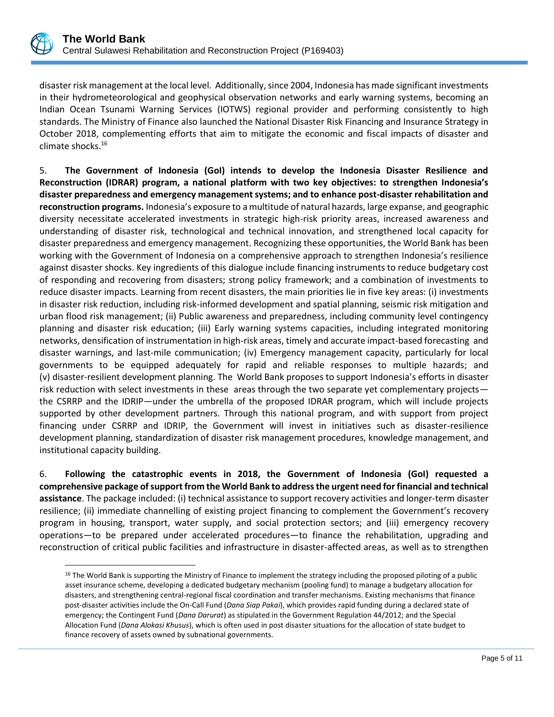

 $\overline{\phantom{a}}$ 

disaster risk management at the local level. Additionally, since 2004, Indonesia has made significant investments in their hydrometeorological and geophysical observation networks and early warning systems, becoming an Indian Ocean Tsunami Warning Services (IOTWS) regional provider and performing consistently to high standards. The Ministry of Finance also launched the National Disaster Risk Financing and Insurance Strategy in October 2018, complementing efforts that aim to mitigate the economic and fiscal impacts of disaster and climate shocks.<sup>16</sup>

5. **The Government of Indonesia (GoI) intends to develop the Indonesia Disaster Resilience and Reconstruction (IDRAR) program, a national platform with two key objectives: to strengthen Indonesia's disaster preparedness and emergency management systems; and to enhance post-disaster rehabilitation and reconstruction programs.** Indonesia's exposure to a multitude of natural hazards, large expanse, and geographic diversity necessitate accelerated investments in strategic high-risk priority areas, increased awareness and understanding of disaster risk, technological and technical innovation, and strengthened local capacity for disaster preparedness and emergency management. Recognizing these opportunities, the World Bank has been working with the Government of Indonesia on a comprehensive approach to strengthen Indonesia's resilience against disaster shocks. Key ingredients of this dialogue include financing instruments to reduce budgetary cost of responding and recovering from disasters; strong policy framework; and a combination of investments to reduce disaster impacts. Learning from recent disasters, the main priorities lie in five key areas: (i) investments in disaster risk reduction, including risk-informed development and spatial planning, seismic risk mitigation and urban flood risk management; (ii) Public awareness and preparedness, including community level contingency planning and disaster risk education; (iii) Early warning systems capacities, including integrated monitoring networks, densification of instrumentation in high-risk areas, timely and accurate impact-based forecasting and disaster warnings, and last-mile communication; (iv) Emergency management capacity, particularly for local governments to be equipped adequately for rapid and reliable responses to multiple hazards; and (v) disaster-resilient development planning. The World Bank proposes to support Indonesia's efforts in disaster risk reduction with select investments in these areas through the two separate yet complementary projects the CSRRP and the IDRIP—under the umbrella of the proposed IDRAR program, which will include projects supported by other development partners. Through this national program, and with support from project financing under CSRRP and IDRIP, the Government will invest in initiatives such as disaster-resilience development planning, standardization of disaster risk management procedures, knowledge management, and institutional capacity building.

6. **Following the catastrophic events in 2018, the Government of Indonesia (GoI) requested a comprehensive package of support from the World Bank to address the urgent need for financial and technical assistance**. The package included: (i) technical assistance to support recovery activities and longer-term disaster resilience; (ii) immediate channelling of existing project financing to complement the Government's recovery program in housing, transport, water supply, and social protection sectors; and (iii) emergency recovery operations—to be prepared under accelerated procedures—to finance the rehabilitation, upgrading and reconstruction of critical public facilities and infrastructure in disaster-affected areas, as well as to strengthen

<sup>&</sup>lt;sup>16</sup> The World Bank is supporting the Ministry of Finance to implement the strategy including the proposed piloting of a public asset insurance scheme, developing a dedicated budgetary mechanism (pooling fund) to manage a budgetary allocation for disasters, and strengthening central-regional fiscal coordination and transfer mechanisms. Existing mechanisms that finance post-disaster activities include the On-Call Fund (*Dana Siap Pakai*), which provides rapid funding during a declared state of emergency; the Contingent Fund (*Dana Darurat*) as stipulated in the Government Regulation 44/2012; and the Special Allocation Fund (*Dana Alokasi Khusus*), which is often used in post disaster situations for the allocation of state budget to finance recovery of assets owned by subnational governments.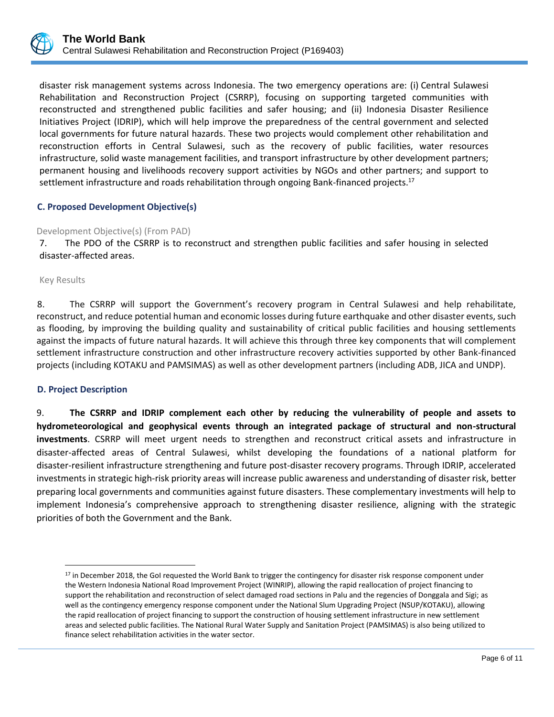disaster risk management systems across Indonesia. The two emergency operations are: (i) Central Sulawesi Rehabilitation and Reconstruction Project (CSRRP), focusing on supporting targeted communities with reconstructed and strengthened public facilities and safer housing; and (ii) Indonesia Disaster Resilience Initiatives Project (IDRIP), which will help improve the preparedness of the central government and selected local governments for future natural hazards. These two projects would complement other rehabilitation and reconstruction efforts in Central Sulawesi, such as the recovery of public facilities, water resources infrastructure, solid waste management facilities, and transport infrastructure by other development partners; permanent housing and livelihoods recovery support activities by NGOs and other partners; and support to settlement infrastructure and roads rehabilitation through ongoing Bank-financed projects.<sup>17</sup>

## **C. Proposed Development Objective(s)**

### Development Objective(s) (From PAD)

7. The PDO of the CSRRP is to reconstruct and strengthen public facilities and safer housing in selected disaster-affected areas.

Key Results

8. The CSRRP will support the Government's recovery program in Central Sulawesi and help rehabilitate, reconstruct, and reduce potential human and economic losses during future earthquake and other disaster events, such as flooding, by improving the building quality and sustainability of critical public facilities and housing settlements against the impacts of future natural hazards. It will achieve this through three key components that will complement settlement infrastructure construction and other infrastructure recovery activities supported by other Bank-financed projects (including KOTAKU and PAMSIMAS) as well as other development partners (including ADB, JICA and UNDP).

## **D. Project Description**

 $\overline{\phantom{a}}$ 

9. **The CSRRP and IDRIP complement each other by reducing the vulnerability of people and assets to hydrometeorological and geophysical events through an integrated package of structural and non-structural investments**. CSRRP will meet urgent needs to strengthen and reconstruct critical assets and infrastructure in disaster-affected areas of Central Sulawesi, whilst developing the foundations of a national platform for disaster-resilient infrastructure strengthening and future post-disaster recovery programs. Through IDRIP, accelerated investments in strategic high-risk priority areas will increase public awareness and understanding of disaster risk, better preparing local governments and communities against future disasters. These complementary investments will help to implement Indonesia's comprehensive approach to strengthening disaster resilience, aligning with the strategic priorities of both the Government and the Bank.

<sup>&</sup>lt;sup>17</sup> in December 2018, the GoI requested the World Bank to trigger the contingency for disaster risk response component under the Western Indonesia National Road Improvement Project (WINRIP), allowing the rapid reallocation of project financing to support the rehabilitation and reconstruction of select damaged road sections in Palu and the regencies of Donggala and Sigi; as well as the contingency emergency response component under the National Slum Upgrading Project (NSUP/KOTAKU), allowing the rapid reallocation of project financing to support the construction of housing settlement infrastructure in new settlement areas and selected public facilities. The National Rural Water Supply and Sanitation Project (PAMSIMAS) is also being utilized to finance select rehabilitation activities in the water sector.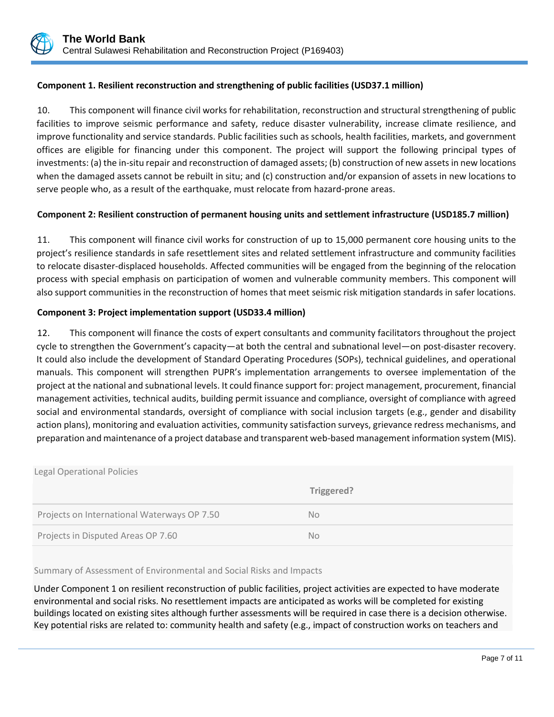

### **Component 1. Resilient reconstruction and strengthening of public facilities (USD37.1 million)**

10. This component will finance civil works for rehabilitation, reconstruction and structural strengthening of public facilities to improve seismic performance and safety, reduce disaster vulnerability, increase climate resilience, and improve functionality and service standards. Public facilities such as schools, health facilities, markets, and government offices are eligible for financing under this component. The project will support the following principal types of investments: (a) the in-situ repair and reconstruction of damaged assets; (b) construction of new assets in new locations when the damaged assets cannot be rebuilt in situ; and (c) construction and/or expansion of assets in new locations to serve people who, as a result of the earthquake, must relocate from hazard-prone areas.

### **Component 2: Resilient construction of permanent housing units and settlement infrastructure (USD185.7 million)**

11. This component will finance civil works for construction of up to 15,000 permanent core housing units to the project's resilience standards in safe resettlement sites and related settlement infrastructure and community facilities to relocate disaster-displaced households. Affected communities will be engaged from the beginning of the relocation process with special emphasis on participation of women and vulnerable community members. This component will also support communities in the reconstruction of homes that meet seismic risk mitigation standards in safer locations.

### **Component 3: Project implementation support (USD33.4 million)**

12. This component will finance the costs of expert consultants and community facilitators throughout the project cycle to strengthen the Government's capacity—at both the central and subnational level—on post-disaster recovery. It could also include the development of Standard Operating Procedures (SOPs), technical guidelines, and operational manuals. This component will strengthen PUPR's implementation arrangements to oversee implementation of the project at the national and subnational levels. It could finance support for: project management, procurement, financial management activities, technical audits, building permit issuance and compliance, oversight of compliance with agreed social and environmental standards, oversight of compliance with social inclusion targets (e.g., gender and disability action plans), monitoring and evaluation activities, community satisfaction surveys, grievance redress mechanisms, and preparation and maintenance of a project database and transparent web-based management information system (MIS).

| <b>Legal Operational Policies</b>           |            |
|---------------------------------------------|------------|
|                                             | Triggered? |
| Projects on International Waterways OP 7.50 | No.        |
| Projects in Disputed Areas OP 7.60          | No.        |

#### Summary of Assessment of Environmental and Social Risks and Impacts

Under Component 1 on resilient reconstruction of public facilities, project activities are expected to have moderate environmental and social risks. No resettlement impacts are anticipated as works will be completed for existing buildings located on existing sites although further assessments will be required in case there is a decision otherwise. Key potential risks are related to: community health and safety (e.g., impact of construction works on teachers and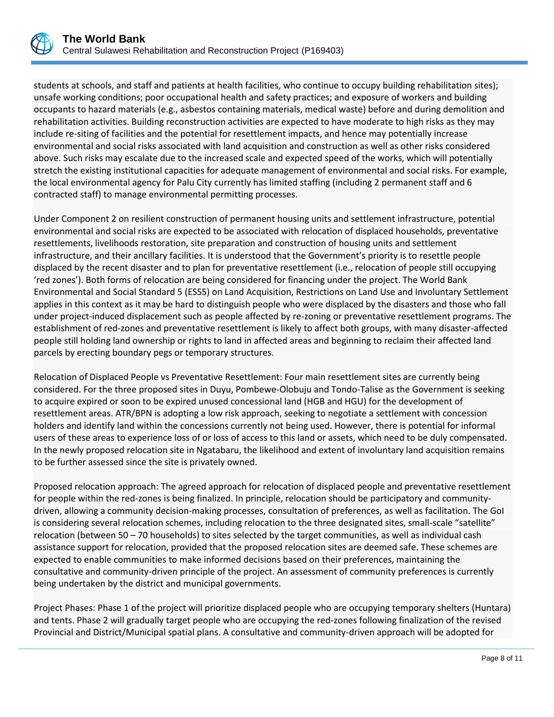

students at schools, and staff and patients at health facilities, who continue to occupy building rehabilitation sites); unsafe working conditions; poor occupational health and safety practices; and exposure of workers and building occupants to hazard materials (e.g., asbestos containing materials, medical waste) before and during demolition and rehabilitation activities. Building reconstruction activities are expected to have moderate to high risks as they may include re-siting of facilities and the potential for resettlement impacts, and hence may potentially increase environmental and social risks associated with land acquisition and construction as well as other risks considered above. Such risks may escalate due to the increased scale and expected speed of the works, which will potentially stretch the existing institutional capacities for adequate management of environmental and social risks. For example, the local environmental agency for Palu City currently has limited staffing (including 2 permanent staff and 6 contracted staff) to manage environmental permitting processes.

Under Component 2 on resilient construction of permanent housing units and settlement infrastructure, potential environmental and social risks are expected to be associated with relocation of displaced households, preventative resettlements, livelihoods restoration, site preparation and construction of housing units and settlement infrastructure, and their ancillary facilities. It is understood that the Government's priority is to resettle people displaced by the recent disaster and to plan for preventative resettlement (i.e., relocation of people still occupying 'red zones'). Both forms of relocation are being considered for financing under the project. The World Bank Environmental and Social Standard 5 (ESS5) on Land Acquisition, Restrictions on Land Use and Involuntary Settlement applies in this context as it may be hard to distinguish people who were displaced by the disasters and those who fall under project-induced displacement such as people affected by re-zoning or preventative resettlement programs. The establishment of red-zones and preventative resettlement is likely to affect both groups, with many disaster-affected people still holding land ownership or rights to land in affected areas and beginning to reclaim their affected land parcels by erecting boundary pegs or temporary structures.

Relocation of Displaced People vs Preventative Resettlement: Four main resettlement sites are currently being considered. For the three proposed sites in Duyu, Pombewe-Olobuju and Tondo-Talise as the Government is seeking to acquire expired or soon to be expired unused concessional land (HGB and HGU) for the development of resettlement areas. ATR/BPN is adopting a low risk approach, seeking to negotiate a settlement with concession holders and identify land within the concessions currently not being used. However, there is potential for informal users of these areas to experience loss of or loss of access to this land or assets, which need to be duly compensated. In the newly proposed relocation site in Ngatabaru, the likelihood and extent of involuntary land acquisition remains to be further assessed since the site is privately owned.

Proposed relocation approach: The agreed approach for relocation of displaced people and preventative resettlement for people within the red-zones is being finalized. In principle, relocation should be participatory and communitydriven, allowing a community decision-making processes, consultation of preferences, as well as facilitation. The GoI is considering several relocation schemes, including relocation to the three designated sites, small-scale "satellite" relocation (between 50 – 70 households) to sites selected by the target communities, as well as individual cash assistance support for relocation, provided that the proposed relocation sites are deemed safe. These schemes are expected to enable communities to make informed decisions based on their preferences, maintaining the consultative and community-driven principle of the project. An assessment of community preferences is currently being undertaken by the district and municipal governments.

Project Phases: Phase 1 of the project will prioritize displaced people who are occupying temporary shelters (Huntara) and tents. Phase 2 will gradually target people who are occupying the red-zones following finalization of the revised Provincial and District/Municipal spatial plans. A consultative and community-driven approach will be adopted for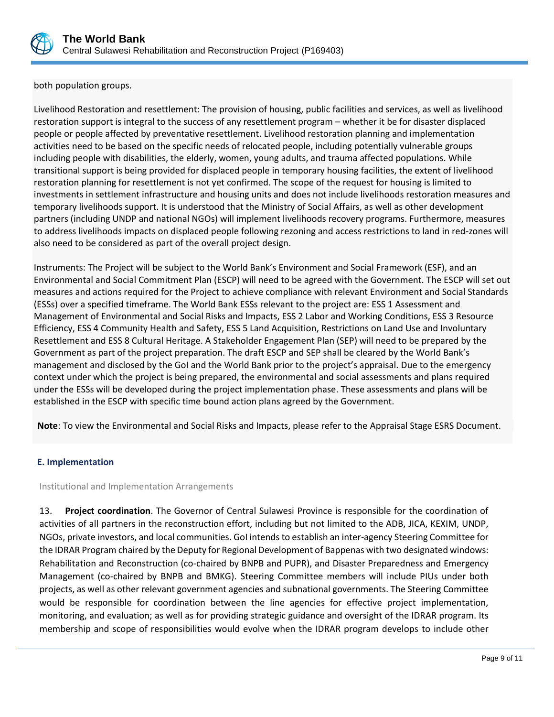

both population groups.

Livelihood Restoration and resettlement: The provision of housing, public facilities and services, as well as livelihood restoration support is integral to the success of any resettlement program – whether it be for disaster displaced people or people affected by preventative resettlement. Livelihood restoration planning and implementation activities need to be based on the specific needs of relocated people, including potentially vulnerable groups including people with disabilities, the elderly, women, young adults, and trauma affected populations. While transitional support is being provided for displaced people in temporary housing facilities, the extent of livelihood restoration planning for resettlement is not yet confirmed. The scope of the request for housing is limited to investments in settlement infrastructure and housing units and does not include livelihoods restoration measures and temporary livelihoods support. It is understood that the Ministry of Social Affairs, as well as other development partners (including UNDP and national NGOs) will implement livelihoods recovery programs. Furthermore, measures to address livelihoods impacts on displaced people following rezoning and access restrictions to land in red-zones will also need to be considered as part of the overall project design.

Instruments: The Project will be subject to the World Bank's Environment and Social Framework (ESF), and an Environmental and Social Commitment Plan (ESCP) will need to be agreed with the Government. The ESCP will set out measures and actions required for the Project to achieve compliance with relevant Environment and Social Standards (ESSs) over a specified timeframe. The World Bank ESSs relevant to the project are: ESS 1 Assessment and Management of Environmental and Social Risks and Impacts, ESS 2 Labor and Working Conditions, ESS 3 Resource Efficiency, ESS 4 Community Health and Safety, ESS 5 Land Acquisition, Restrictions on Land Use and Involuntary Resettlement and ESS 8 Cultural Heritage. A Stakeholder Engagement Plan (SEP) will need to be prepared by the Government as part of the project preparation. The draft ESCP and SEP shall be cleared by the World Bank's management and disclosed by the GoI and the World Bank prior to the project's appraisal. Due to the emergency context under which the project is being prepared, the environmental and social assessments and plans required under the ESSs will be developed during the project implementation phase. These assessments and plans will be established in the ESCP with specific time bound action plans agreed by the Government.

**Note**: To view the Environmental and Social Risks and Impacts, please refer to the Appraisal Stage ESRS Document.

## **E. Implementation**

#### Institutional and Implementation Arrangements

13. **Project coordination**. The Governor of Central Sulawesi Province is responsible for the coordination of activities of all partners in the reconstruction effort, including but not limited to the ADB, JICA, KEXIM, UNDP, NGOs, private investors, and local communities. GoI intends to establish an inter-agency Steering Committee for the IDRAR Program chaired by the Deputy for Regional Development of Bappenas with two designated windows: Rehabilitation and Reconstruction (co-chaired by BNPB and PUPR), and Disaster Preparedness and Emergency Management (co-chaired by BNPB and BMKG). Steering Committee members will include PIUs under both projects, as well as other relevant government agencies and subnational governments. The Steering Committee would be responsible for coordination between the line agencies for effective project implementation, monitoring, and evaluation; as well as for providing strategic guidance and oversight of the IDRAR program. Its membership and scope of responsibilities would evolve when the IDRAR program develops to include other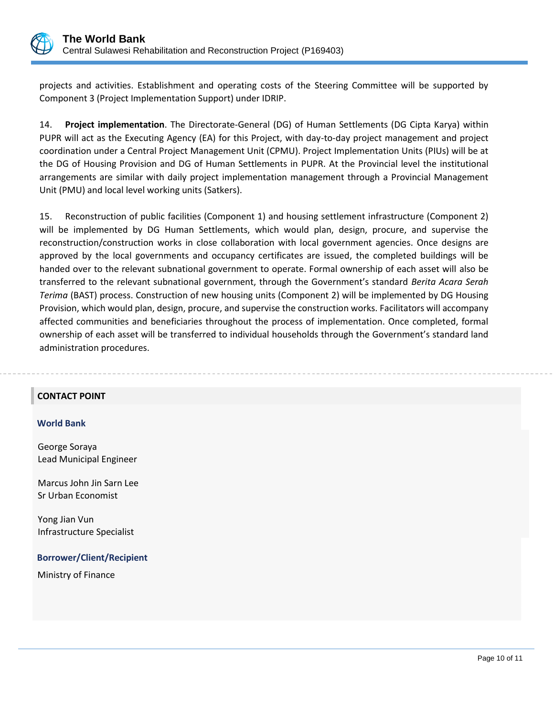

projects and activities. Establishment and operating costs of the Steering Committee will be supported by Component 3 (Project Implementation Support) under IDRIP.

14. **Project implementation**. The Directorate-General (DG) of Human Settlements (DG Cipta Karya) within PUPR will act as the Executing Agency (EA) for this Project, with day-to-day project management and project coordination under a Central Project Management Unit (CPMU). Project Implementation Units (PIUs) will be at the DG of Housing Provision and DG of Human Settlements in PUPR. At the Provincial level the institutional arrangements are similar with daily project implementation management through a Provincial Management Unit (PMU) and local level working units (Satkers).

15. Reconstruction of public facilities (Component 1) and housing settlement infrastructure (Component 2) will be implemented by DG Human Settlements, which would plan, design, procure, and supervise the reconstruction/construction works in close collaboration with local government agencies. Once designs are approved by the local governments and occupancy certificates are issued, the completed buildings will be handed over to the relevant subnational government to operate. Formal ownership of each asset will also be transferred to the relevant subnational government, through the Government's standard *Berita Acara Serah Terima* (BAST) process. Construction of new housing units (Component 2) will be implemented by DG Housing Provision, which would plan, design, procure, and supervise the construction works. Facilitators will accompany affected communities and beneficiaries throughout the process of implementation. Once completed, formal ownership of each asset will be transferred to individual households through the Government's standard land administration procedures.

#### **CONTACT POINT**

#### **World Bank**

George Soraya Lead Municipal Engineer

Marcus John Jin Sarn Lee Sr Urban Economist

Yong Jian Vun Infrastructure Specialist

#### **Borrower/Client/Recipient**

Ministry of Finance